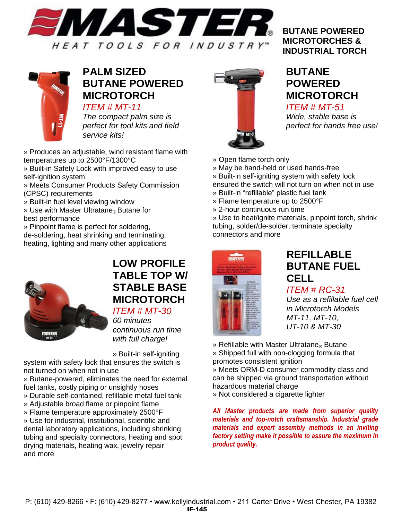



#### **PALM SIZED BUTANE POWERED MICROTORCH** *ITEM # MT-11*

*The compact palm size is perfect for tool kits and field service kits!*

» Produces an adjustable, wind resistant flame with temperatures up to 2500°F/1300°C

» Built-in Safety Lock with improved easy to use self-ignition system

» Meets Consumer Products Safety Commission (CPSC) requirements

» Built-in fuel level viewing window

» Use with Master Ultratane<sup>®</sup> Butane for best performance

» Pinpoint flame is perfect for soldering, de-soldering, heat shrinking and terminating, heating, lighting and many other applications



### **LOW PROFILE TABLE TOP W/ STABLE BASE MICROTORCH** *ITEM # MT-30*

*60 minutes continuous run time with full charge!*

» Built-in self-igniting

system with safety lock that ensures the switch is not turned on when not in use

» Butane-powered, eliminates the need for external fuel tanks, costly piping or unsightly hoses

- » Durable self-contained, refillable metal fuel tank
- » Adjustable broad flame or pinpoint flame
- » Flame temperature approximately 2500°F

» Use for industrial, institutional, scientific and dental laboratory applications, including shrinking tubing and specialty connectors, heating and spot drying materials, heating wax, jewelry repair and more



#### **BUTANE POWERED MICROTORCHES & INDUSTRIAL TORCH**

### **BUTANE POWERED MICROTORCH** *ITEM # MT-51*

*Wide, stable base is perfect for hands free use!*

- » Open flame torch only
- » May be hand-held or used hands-free
- » Built-in self-igniting system with safety lock

ensured the switch will not turn on when not in use » Built-in "refillable" plastic fuel tank

- » Flame temperature up to 2500°F
- » 2-hour continuous run time

» Use to heat/ignite materials, pinpoint torch, shrink tubing, solder/de-solder, terminate specialty connectors and more



## **REFILLABLE BUTANE FUEL CELL**

*ITEM # RC-31*

*Use as a refillable fuel cell in Microtorch Models MT-11, MT-10, UT-10 & MT-30*

» Refillable with Master Ultratane® Butane » Shipped full with non-clogging formula that promotes consistent ignition

» Meets ORM-D consumer commodity class and can be shipped via ground transportation without hazardous material charge

» Not considered a cigarette lighter

*All Master products are made from superior quality materials and top-notch craftsmanship. Industrial grade materials and expert assembly methods in an inviting factory setting make it possible to assure the maximum in product quality.*